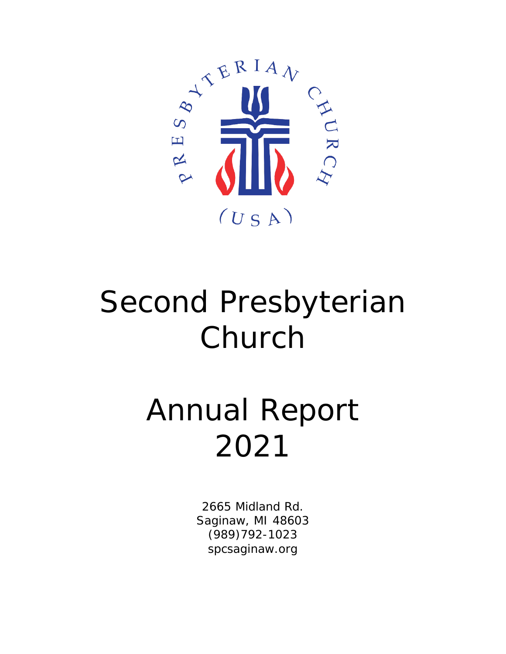

# Second Presbyterian Church

# Annual Report 2021

2665 Midland Rd. Saginaw, MI 48603 (989)792-1023 spcsaginaw.org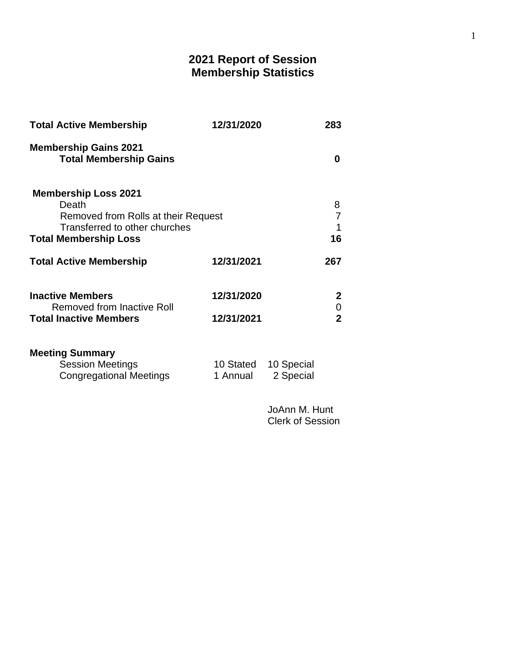# **2021 Report of Session Membership Statistics**

| <b>Total Active Membership</b>                                                                                                               | 12/31/2020               |                         | 283                                           |  |
|----------------------------------------------------------------------------------------------------------------------------------------------|--------------------------|-------------------------|-----------------------------------------------|--|
| <b>Membership Gains 2021</b><br><b>Total Membership Gains</b>                                                                                |                          |                         | $\bf{0}$                                      |  |
| <b>Membership Loss 2021</b><br>Death<br>Removed from Rolls at their Request<br>Transferred to other churches<br><b>Total Membership Loss</b> |                          |                         | 8<br>7<br>1<br>16                             |  |
| <b>Total Active Membership</b>                                                                                                               | 12/31/2021               |                         | 267                                           |  |
| <b>Inactive Members</b><br>Removed from Inactive Roll<br><b>Total Inactive Members</b>                                                       | 12/31/2020<br>12/31/2021 |                         | $\mathbf{2}$<br>$\mathbf 0$<br>$\overline{2}$ |  |
| <b>Meeting Summary</b><br><b>Session Meetings</b><br><b>Congregational Meetings</b>                                                          | 10 Stated<br>1 Annual    | 10 Special<br>2 Special |                                               |  |

JoAnn M. Hunt Clerk of Session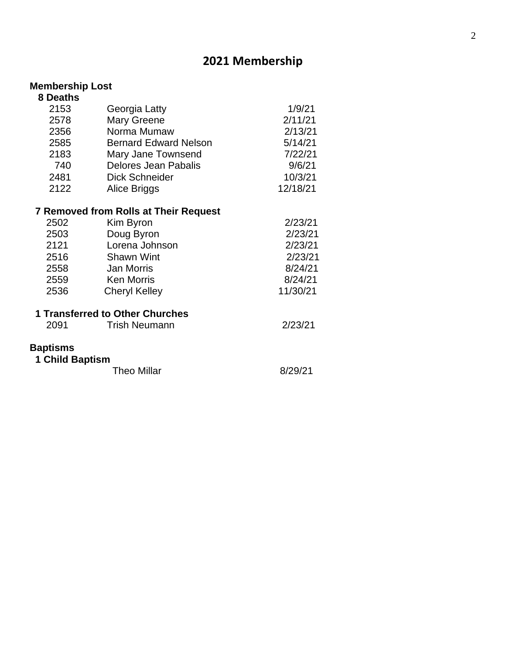# **2021 Membership**

#### **Membership Lost**

| 8 Deaths        |                                              |          |
|-----------------|----------------------------------------------|----------|
| 2153            | Georgia Latty                                | 1/9/21   |
| 2578            | <b>Mary Greene</b>                           | 2/11/21  |
| 2356            | Norma Mumaw                                  | 2/13/21  |
| 2585            | <b>Bernard Edward Nelson</b>                 | 5/14/21  |
| 2183            | Mary Jane Townsend                           | 7/22/21  |
| 740             | <b>Delores Jean Pabalis</b>                  | 9/6/21   |
| 2481            | <b>Dick Schneider</b>                        | 10/3/21  |
| 2122            | Alice Briggs                                 | 12/18/21 |
|                 | <b>7 Removed from Rolls at Their Request</b> |          |
| 2502            | Kim Byron                                    | 2/23/21  |
| 2503            | Doug Byron                                   | 2/23/21  |
| 2121            | Lorena Johnson                               | 2/23/21  |
| 2516            | <b>Shawn Wint</b>                            | 2/23/21  |
| 2558            | <b>Jan Morris</b>                            | 8/24/21  |
| 2559            | <b>Ken Morris</b>                            | 8/24/21  |
| 2536            | <b>Cheryl Kelley</b>                         | 11/30/21 |
|                 | 1 Transferred to Other Churches              |          |
| 2091            | <b>Trish Neumann</b>                         | 2/23/21  |
| <b>Baptisms</b> |                                              |          |
| 1 Child Baptism |                                              |          |
|                 | <b>Theo Millar</b>                           | 8/29/21  |
|                 |                                              |          |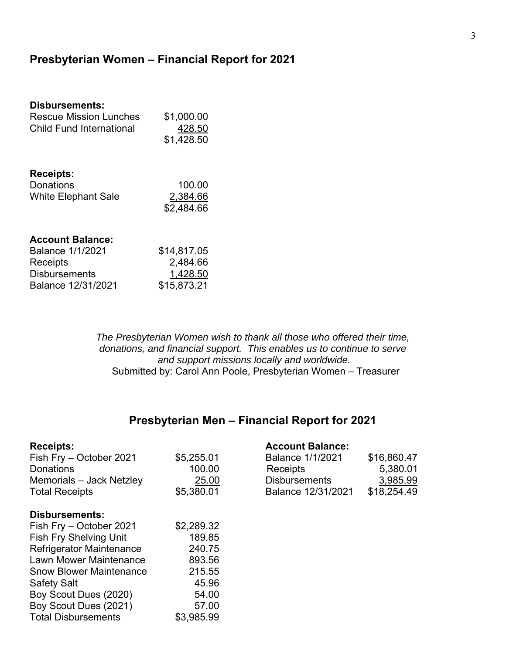## **Presbyterian Women – Financial Report for 2021**

| Disbursements:                |             |
|-------------------------------|-------------|
| Rescue Mission Lunches        | \$1,000.00  |
| Child Fund International      | 428.50      |
|                               | \$1,428.50  |
|                               |             |
| <b>Receipts:</b><br>Donations | 100.00      |
| <b>White Elephant Sale</b>    | 2,384.66    |
|                               | \$2,484.66  |
|                               |             |
| <b>Account Balance:</b>       |             |
| <b>Balance 1/1/2021</b>       | \$14,817.05 |
| Receipts                      | 2,484.66    |
| <b>Disbursements</b>          | 1,428.50    |
| Balance 12/31/2021            | \$15,873.21 |

*The Presbyterian Women wish to thank all those who offered their time, donations, and financial support. This enables us to continue to serve and support missions locally and worldwide.*  Submitted by: Carol Ann Poole, Presbyterian Women – Treasurer

# **Presbyterian Men – Financial Report for 2021**

| <b>Receipts:</b>                |            | <b>Account Balance:</b> |             |
|---------------------------------|------------|-------------------------|-------------|
| Fish Fry - October 2021         | \$5,255.01 | <b>Balance 1/1/2021</b> | \$16,860.47 |
| <b>Donations</b>                | 100.00     | Receipts                | 5,380.01    |
| Memorials - Jack Netzley        | 25.00      | <b>Disbursements</b>    | 3,985.99    |
| <b>Total Receipts</b>           | \$5,380.01 | Balance 12/31/2021      | \$18,254.49 |
| <b>Disbursements:</b>           |            |                         |             |
| Fish Fry – October 2021         | \$2,289.32 |                         |             |
| <b>Fish Fry Shelving Unit</b>   | 189.85     |                         |             |
| <b>Refrigerator Maintenance</b> | 240.75     |                         |             |
| Lawn Mower Maintenance          | 893.56     |                         |             |
| <b>Snow Blower Maintenance</b>  | 215.55     |                         |             |
| <b>Safety Salt</b>              | 45.96      |                         |             |
| Boy Scout Dues (2020)           | 54.00      |                         |             |
| Boy Scout Dues (2021)           | 57.00      |                         |             |
| <b>Total Disbursements</b>      | \$3,985.99 |                         |             |

### **Account Balance:**

| <b>Balance 1/1/2021</b> | \$16,860.47 |
|-------------------------|-------------|
| Receipts                | 5,380.01    |
| <b>Disbursements</b>    | 3,985.99    |
| Balance 12/31/2021      | \$18,254.49 |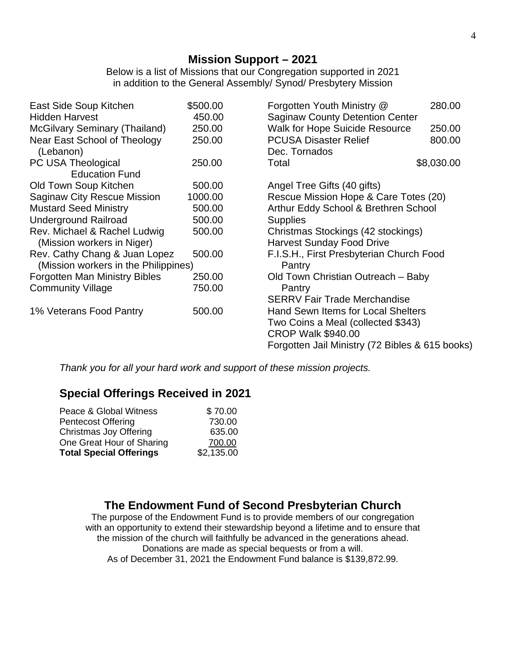Below is a list of Missions that our Congregation supported in 2021 in addition to the General Assembly/ Synod/ Presbytery Mission

| East Side Soup Kitchen                    | \$500.00 | Forgotten Youth Ministry @                      | 280.00     |
|-------------------------------------------|----------|-------------------------------------------------|------------|
| <b>Hidden Harvest</b>                     | 450.00   | <b>Saginaw County Detention Center</b>          |            |
| <b>McGilvary Seminary (Thailand)</b>      | 250.00   | <b>Walk for Hope Suicide Resource</b>           | 250.00     |
| Near East School of Theology<br>(Lebanon) | 250.00   | <b>PCUSA Disaster Relief</b><br>Dec. Tornados   | 800.00     |
| PC USA Theological                        | 250.00   | Total                                           | \$8,030.00 |
| <b>Education Fund</b>                     |          |                                                 |            |
| Old Town Soup Kitchen                     | 500.00   | Angel Tree Gifts (40 gifts)                     |            |
| <b>Saginaw City Rescue Mission</b>        | 1000.00  | Rescue Mission Hope & Care Totes (20)           |            |
| <b>Mustard Seed Ministry</b>              | 500.00   | Arthur Eddy School & Brethren School            |            |
| <b>Underground Railroad</b>               | 500.00   | <b>Supplies</b>                                 |            |
| Rev. Michael & Rachel Ludwig              | 500.00   | Christmas Stockings (42 stockings)              |            |
| (Mission workers in Niger)                |          | <b>Harvest Sunday Food Drive</b>                |            |
| Rev. Cathy Chang & Juan Lopez             | 500.00   | F.I.S.H., First Presbyterian Church Food        |            |
| (Mission workers in the Philippines)      |          | Pantry                                          |            |
| <b>Forgotten Man Ministry Bibles</b>      | 250.00   | Old Town Christian Outreach – Baby              |            |
| <b>Community Village</b>                  | 750.00   | Pantry                                          |            |
|                                           |          | <b>SERRV Fair Trade Merchandise</b>             |            |
| 1% Veterans Food Pantry                   | 500.00   | Hand Sewn Items for Local Shelters              |            |
|                                           |          | Two Coins a Meal (collected \$343)              |            |
|                                           |          | <b>CROP Walk \$940.00</b>                       |            |
|                                           |          | Forgotten Jail Ministry (72 Bibles & 615 books) |            |

*Thank you for all your hard work and support of these mission projects.*

# **Special Offerings Received in 2021**

| Peace & Global Witness         | \$70.00    |
|--------------------------------|------------|
| <b>Pentecost Offering</b>      | 730.00     |
| Christmas Joy Offering         | 635.00     |
| One Great Hour of Sharing      | 700.00     |
| <b>Total Special Offerings</b> | \$2,135.00 |

# **The Endowment Fund of Second Presbyterian Church**

The purpose of the Endowment Fund is to provide members of our congregation with an opportunity to extend their stewardship beyond a lifetime and to ensure that the mission of the church will faithfully be advanced in the generations ahead. Donations are made as special bequests or from a will. As of December 31, 2021 the Endowment Fund balance is \$139,872.99.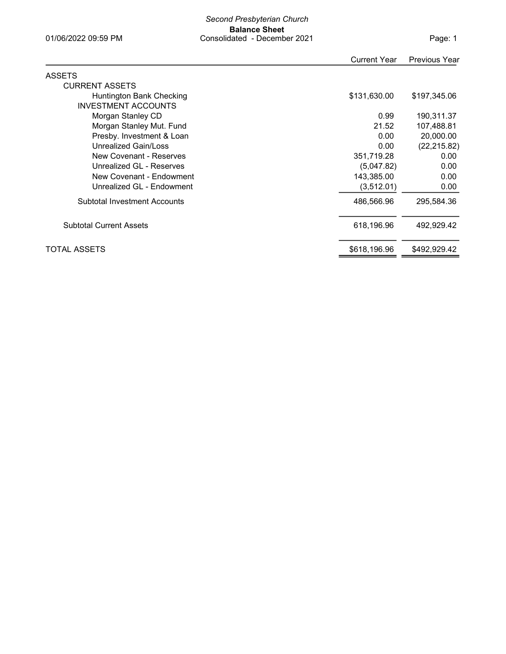#### Second Presbyterian Church Balance Sheet 01/06/2022 09:59 PM Consolidated - December 2021

|                                     | <b>Current Year</b> | <b>Previous Year</b> |
|-------------------------------------|---------------------|----------------------|
| <b>ASSETS</b>                       |                     |                      |
| <b>CURRENT ASSETS</b>               |                     |                      |
| Huntington Bank Checking            | \$131,630.00        | \$197,345.06         |
| <b>INVESTMENT ACCOUNTS</b>          |                     |                      |
| Morgan Stanley CD                   | 0.99                | 190,311.37           |
| Morgan Stanley Mut. Fund            | 21.52               | 107,488.81           |
| Presby. Investment & Loan           | 0.00                | 20,000.00            |
| Unrealized Gain/Loss                | 0.00                | (22, 215.82)         |
| New Covenant - Reserves             | 351,719.28          | 0.00                 |
| Unrealized GL - Reserves            | (5,047.82)          | 0.00                 |
| New Covenant - Endowment            | 143,385.00          | 0.00                 |
| Unrealized GL - Endowment           | (3,512.01)          | 0.00                 |
| <b>Subtotal Investment Accounts</b> | 486,566.96          | 295,584.36           |
| <b>Subtotal Current Assets</b>      | 618,196.96          | 492,929.42           |
| <b>TOTAL ASSETS</b>                 | \$618,196.96        | \$492,929.42         |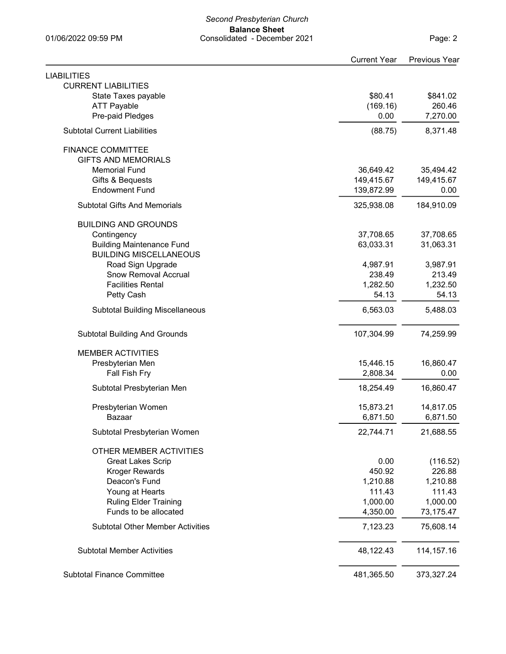#### Second Presbyterian Church Balance Sheet 01/06/2022 09:59 PM Consolidated - December 2021

| <b>LIABILITIES</b>                      |            |              |
|-----------------------------------------|------------|--------------|
| <b>CURRENT LIABILITIES</b>              |            |              |
| State Taxes payable                     | \$80.41    | \$841.02     |
| <b>ATT Payable</b>                      | (169.16)   | 260.46       |
| Pre-paid Pledges                        | 0.00       | 7,270.00     |
| <b>Subtotal Current Liabilities</b>     | (88.75)    | 8,371.48     |
| <b>FINANCE COMMITTEE</b>                |            |              |
| <b>GIFTS AND MEMORIALS</b>              |            |              |
| <b>Memorial Fund</b>                    | 36,649.42  | 35,494.42    |
| Gifts & Bequests                        | 149,415.67 | 149,415.67   |
| <b>Endowment Fund</b>                   | 139,872.99 | 0.00         |
| <b>Subtotal Gifts And Memorials</b>     | 325,938.08 | 184,910.09   |
| <b>BUILDING AND GROUNDS</b>             |            |              |
| Contingency                             | 37,708.65  | 37,708.65    |
| <b>Building Maintenance Fund</b>        | 63,033.31  | 31,063.31    |
| <b>BUILDING MISCELLANEOUS</b>           |            |              |
| Road Sign Upgrade                       | 4,987.91   | 3,987.91     |
| <b>Snow Removal Accrual</b>             | 238.49     | 213.49       |
| <b>Facilities Rental</b>                | 1,282.50   | 1,232.50     |
| Petty Cash                              | 54.13      | 54.13        |
| <b>Subtotal Building Miscellaneous</b>  | 6,563.03   | 5,488.03     |
| <b>Subtotal Building And Grounds</b>    | 107,304.99 | 74,259.99    |
| <b>MEMBER ACTIVITIES</b>                |            |              |
| Presbyterian Men                        | 15,446.15  | 16,860.47    |
| Fall Fish Fry                           | 2,808.34   | 0.00         |
|                                         |            |              |
| Subtotal Presbyterian Men               | 18,254.49  | 16,860.47    |
| Presbyterian Women                      | 15,873.21  | 14,817.05    |
| Bazaar                                  | 6,871.50   | 6,871.50     |
| Subtotal Presbyterian Women             | 22,744.71  | 21,688.55    |
| OTHER MEMBER ACTIVITIES                 |            |              |
| <b>Great Lakes Scrip</b>                | 0.00       | (116.52)     |
| <b>Kroger Rewards</b>                   | 450.92     | 226.88       |
| Deacon's Fund                           | 1,210.88   | 1,210.88     |
| Young at Hearts                         | 111.43     | 111.43       |
| <b>Ruling Elder Training</b>            | 1,000.00   | 1,000.00     |
| Funds to be allocated                   | 4,350.00   | 73,175.47    |
| <b>Subtotal Other Member Activities</b> | 7,123.23   | 75,608.14    |
| <b>Subtotal Member Activities</b>       | 48,122.43  | 114, 157. 16 |
|                                         |            |              |
| <b>Subtotal Finance Committee</b>       | 481,365.50 | 373,327.24   |

Current Year Previous Year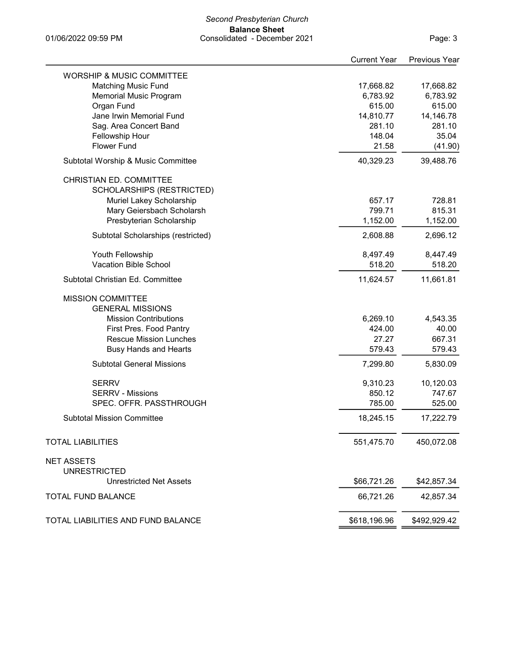#### Second Presbyterian Church Balance Sheet 01/06/2022 09:59 PM Consolidated - December 2021

Page: 3

| <b>WORSHIP &amp; MUSIC COMMITTEE</b><br><b>Matching Music Fund</b><br>17,668.82<br>17,668.82<br>6,783.92<br>6,783.92<br><b>Memorial Music Program</b><br>Organ Fund<br>615.00<br>615.00<br>Jane Irwin Memorial Fund<br>14,810.77<br>14,146.78<br>Sag. Area Concert Band<br>281.10<br>281.10<br>Fellowship Hour<br>148.04<br>35.04<br><b>Flower Fund</b><br>21.58<br>(41.90)<br>40,329.23<br>39,488.76<br>Subtotal Worship & Music Committee<br>CHRISTIAN ED. COMMITTEE<br>SCHOLARSHIPS (RESTRICTED)<br>657.17<br>728.81<br>Muriel Lakey Scholarship<br>Mary Geiersbach Scholarsh<br>799.71<br>815.31<br>Presbyterian Scholarship<br>1,152.00<br>1,152.00<br>2,608.88<br>2,696.12<br>Subtotal Scholarships (restricted)<br>Youth Fellowship<br>8,497.49<br>8,447.49<br><b>Vacation Bible School</b><br>518.20<br>518.20<br>Subtotal Christian Ed. Committee<br>11,624.57<br>11,661.81<br><b>MISSION COMMITTEE</b><br><b>GENERAL MISSIONS</b><br><b>Mission Contributions</b><br>6,269.10<br>4,543.35<br>424.00<br>40.00<br>First Pres. Food Pantry<br>27.27<br><b>Rescue Mission Lunches</b><br>667.31<br><b>Busy Hands and Hearts</b><br>579.43<br>579.43<br><b>Subtotal General Missions</b><br>7,299.80<br>5,830.09<br><b>SERRV</b><br>9,310.23<br>10,120.03<br>850.12<br><b>SERRV - Missions</b><br>747.67<br>SPEC. OFFR. PASSTHROUGH<br>785.00<br>525.00<br><b>Subtotal Mission Committee</b><br>17,222.79<br>18,245.15<br>551,475.70<br>450,072.08<br><b>TOTAL LIABILITIES</b><br><b>NET ASSETS</b><br><b>UNRESTRICTED</b><br>\$66,721.26<br><b>Unrestricted Net Assets</b><br>\$42,857.34<br><b>TOTAL FUND BALANCE</b><br>66,721.26<br>42,857.34<br>\$618,196.96<br>\$492,929.42<br>TOTAL LIABILITIES AND FUND BALANCE | <b>Current Year</b> | <b>Previous Year</b> |
|------------------------------------------------------------------------------------------------------------------------------------------------------------------------------------------------------------------------------------------------------------------------------------------------------------------------------------------------------------------------------------------------------------------------------------------------------------------------------------------------------------------------------------------------------------------------------------------------------------------------------------------------------------------------------------------------------------------------------------------------------------------------------------------------------------------------------------------------------------------------------------------------------------------------------------------------------------------------------------------------------------------------------------------------------------------------------------------------------------------------------------------------------------------------------------------------------------------------------------------------------------------------------------------------------------------------------------------------------------------------------------------------------------------------------------------------------------------------------------------------------------------------------------------------------------------------------------------------------------------------------------------------------------------------------------------------------------------------------|---------------------|----------------------|
|                                                                                                                                                                                                                                                                                                                                                                                                                                                                                                                                                                                                                                                                                                                                                                                                                                                                                                                                                                                                                                                                                                                                                                                                                                                                                                                                                                                                                                                                                                                                                                                                                                                                                                                              |                     |                      |
|                                                                                                                                                                                                                                                                                                                                                                                                                                                                                                                                                                                                                                                                                                                                                                                                                                                                                                                                                                                                                                                                                                                                                                                                                                                                                                                                                                                                                                                                                                                                                                                                                                                                                                                              |                     |                      |
|                                                                                                                                                                                                                                                                                                                                                                                                                                                                                                                                                                                                                                                                                                                                                                                                                                                                                                                                                                                                                                                                                                                                                                                                                                                                                                                                                                                                                                                                                                                                                                                                                                                                                                                              |                     |                      |
|                                                                                                                                                                                                                                                                                                                                                                                                                                                                                                                                                                                                                                                                                                                                                                                                                                                                                                                                                                                                                                                                                                                                                                                                                                                                                                                                                                                                                                                                                                                                                                                                                                                                                                                              |                     |                      |
|                                                                                                                                                                                                                                                                                                                                                                                                                                                                                                                                                                                                                                                                                                                                                                                                                                                                                                                                                                                                                                                                                                                                                                                                                                                                                                                                                                                                                                                                                                                                                                                                                                                                                                                              |                     |                      |
|                                                                                                                                                                                                                                                                                                                                                                                                                                                                                                                                                                                                                                                                                                                                                                                                                                                                                                                                                                                                                                                                                                                                                                                                                                                                                                                                                                                                                                                                                                                                                                                                                                                                                                                              |                     |                      |
|                                                                                                                                                                                                                                                                                                                                                                                                                                                                                                                                                                                                                                                                                                                                                                                                                                                                                                                                                                                                                                                                                                                                                                                                                                                                                                                                                                                                                                                                                                                                                                                                                                                                                                                              |                     |                      |
|                                                                                                                                                                                                                                                                                                                                                                                                                                                                                                                                                                                                                                                                                                                                                                                                                                                                                                                                                                                                                                                                                                                                                                                                                                                                                                                                                                                                                                                                                                                                                                                                                                                                                                                              |                     |                      |
|                                                                                                                                                                                                                                                                                                                                                                                                                                                                                                                                                                                                                                                                                                                                                                                                                                                                                                                                                                                                                                                                                                                                                                                                                                                                                                                                                                                                                                                                                                                                                                                                                                                                                                                              |                     |                      |
|                                                                                                                                                                                                                                                                                                                                                                                                                                                                                                                                                                                                                                                                                                                                                                                                                                                                                                                                                                                                                                                                                                                                                                                                                                                                                                                                                                                                                                                                                                                                                                                                                                                                                                                              |                     |                      |
|                                                                                                                                                                                                                                                                                                                                                                                                                                                                                                                                                                                                                                                                                                                                                                                                                                                                                                                                                                                                                                                                                                                                                                                                                                                                                                                                                                                                                                                                                                                                                                                                                                                                                                                              |                     |                      |
|                                                                                                                                                                                                                                                                                                                                                                                                                                                                                                                                                                                                                                                                                                                                                                                                                                                                                                                                                                                                                                                                                                                                                                                                                                                                                                                                                                                                                                                                                                                                                                                                                                                                                                                              |                     |                      |
|                                                                                                                                                                                                                                                                                                                                                                                                                                                                                                                                                                                                                                                                                                                                                                                                                                                                                                                                                                                                                                                                                                                                                                                                                                                                                                                                                                                                                                                                                                                                                                                                                                                                                                                              |                     |                      |
|                                                                                                                                                                                                                                                                                                                                                                                                                                                                                                                                                                                                                                                                                                                                                                                                                                                                                                                                                                                                                                                                                                                                                                                                                                                                                                                                                                                                                                                                                                                                                                                                                                                                                                                              |                     |                      |
|                                                                                                                                                                                                                                                                                                                                                                                                                                                                                                                                                                                                                                                                                                                                                                                                                                                                                                                                                                                                                                                                                                                                                                                                                                                                                                                                                                                                                                                                                                                                                                                                                                                                                                                              |                     |                      |
|                                                                                                                                                                                                                                                                                                                                                                                                                                                                                                                                                                                                                                                                                                                                                                                                                                                                                                                                                                                                                                                                                                                                                                                                                                                                                                                                                                                                                                                                                                                                                                                                                                                                                                                              |                     |                      |
|                                                                                                                                                                                                                                                                                                                                                                                                                                                                                                                                                                                                                                                                                                                                                                                                                                                                                                                                                                                                                                                                                                                                                                                                                                                                                                                                                                                                                                                                                                                                                                                                                                                                                                                              |                     |                      |
|                                                                                                                                                                                                                                                                                                                                                                                                                                                                                                                                                                                                                                                                                                                                                                                                                                                                                                                                                                                                                                                                                                                                                                                                                                                                                                                                                                                                                                                                                                                                                                                                                                                                                                                              |                     |                      |
|                                                                                                                                                                                                                                                                                                                                                                                                                                                                                                                                                                                                                                                                                                                                                                                                                                                                                                                                                                                                                                                                                                                                                                                                                                                                                                                                                                                                                                                                                                                                                                                                                                                                                                                              |                     |                      |
|                                                                                                                                                                                                                                                                                                                                                                                                                                                                                                                                                                                                                                                                                                                                                                                                                                                                                                                                                                                                                                                                                                                                                                                                                                                                                                                                                                                                                                                                                                                                                                                                                                                                                                                              |                     |                      |
|                                                                                                                                                                                                                                                                                                                                                                                                                                                                                                                                                                                                                                                                                                                                                                                                                                                                                                                                                                                                                                                                                                                                                                                                                                                                                                                                                                                                                                                                                                                                                                                                                                                                                                                              |                     |                      |
|                                                                                                                                                                                                                                                                                                                                                                                                                                                                                                                                                                                                                                                                                                                                                                                                                                                                                                                                                                                                                                                                                                                                                                                                                                                                                                                                                                                                                                                                                                                                                                                                                                                                                                                              |                     |                      |
|                                                                                                                                                                                                                                                                                                                                                                                                                                                                                                                                                                                                                                                                                                                                                                                                                                                                                                                                                                                                                                                                                                                                                                                                                                                                                                                                                                                                                                                                                                                                                                                                                                                                                                                              |                     |                      |
|                                                                                                                                                                                                                                                                                                                                                                                                                                                                                                                                                                                                                                                                                                                                                                                                                                                                                                                                                                                                                                                                                                                                                                                                                                                                                                                                                                                                                                                                                                                                                                                                                                                                                                                              |                     |                      |
|                                                                                                                                                                                                                                                                                                                                                                                                                                                                                                                                                                                                                                                                                                                                                                                                                                                                                                                                                                                                                                                                                                                                                                                                                                                                                                                                                                                                                                                                                                                                                                                                                                                                                                                              |                     |                      |
|                                                                                                                                                                                                                                                                                                                                                                                                                                                                                                                                                                                                                                                                                                                                                                                                                                                                                                                                                                                                                                                                                                                                                                                                                                                                                                                                                                                                                                                                                                                                                                                                                                                                                                                              |                     |                      |
|                                                                                                                                                                                                                                                                                                                                                                                                                                                                                                                                                                                                                                                                                                                                                                                                                                                                                                                                                                                                                                                                                                                                                                                                                                                                                                                                                                                                                                                                                                                                                                                                                                                                                                                              |                     |                      |
|                                                                                                                                                                                                                                                                                                                                                                                                                                                                                                                                                                                                                                                                                                                                                                                                                                                                                                                                                                                                                                                                                                                                                                                                                                                                                                                                                                                                                                                                                                                                                                                                                                                                                                                              |                     |                      |
|                                                                                                                                                                                                                                                                                                                                                                                                                                                                                                                                                                                                                                                                                                                                                                                                                                                                                                                                                                                                                                                                                                                                                                                                                                                                                                                                                                                                                                                                                                                                                                                                                                                                                                                              |                     |                      |
|                                                                                                                                                                                                                                                                                                                                                                                                                                                                                                                                                                                                                                                                                                                                                                                                                                                                                                                                                                                                                                                                                                                                                                                                                                                                                                                                                                                                                                                                                                                                                                                                                                                                                                                              |                     |                      |
|                                                                                                                                                                                                                                                                                                                                                                                                                                                                                                                                                                                                                                                                                                                                                                                                                                                                                                                                                                                                                                                                                                                                                                                                                                                                                                                                                                                                                                                                                                                                                                                                                                                                                                                              |                     |                      |
|                                                                                                                                                                                                                                                                                                                                                                                                                                                                                                                                                                                                                                                                                                                                                                                                                                                                                                                                                                                                                                                                                                                                                                                                                                                                                                                                                                                                                                                                                                                                                                                                                                                                                                                              |                     |                      |
|                                                                                                                                                                                                                                                                                                                                                                                                                                                                                                                                                                                                                                                                                                                                                                                                                                                                                                                                                                                                                                                                                                                                                                                                                                                                                                                                                                                                                                                                                                                                                                                                                                                                                                                              |                     |                      |
|                                                                                                                                                                                                                                                                                                                                                                                                                                                                                                                                                                                                                                                                                                                                                                                                                                                                                                                                                                                                                                                                                                                                                                                                                                                                                                                                                                                                                                                                                                                                                                                                                                                                                                                              |                     |                      |
|                                                                                                                                                                                                                                                                                                                                                                                                                                                                                                                                                                                                                                                                                                                                                                                                                                                                                                                                                                                                                                                                                                                                                                                                                                                                                                                                                                                                                                                                                                                                                                                                                                                                                                                              |                     |                      |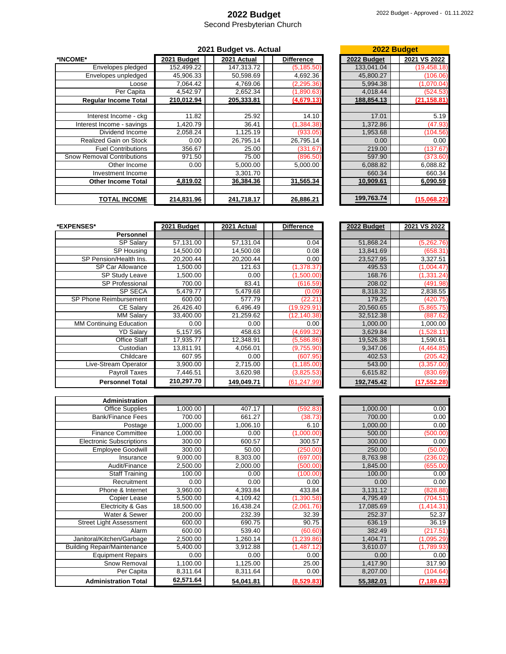## **2022 Budget**

Second Presbyterian Church

|                                   | 2021 Budget vs. Actual |  |             |                   |  | 2022 Budget |              |
|-----------------------------------|------------------------|--|-------------|-------------------|--|-------------|--------------|
| *INCOME*                          | 2021 Budget            |  | 2021 Actual | <b>Difference</b> |  | 2022 Budget | 2021 VS 2022 |
| Envelopes pledged                 | 152,499.22             |  | 147,313.72  | (5, 185.50)       |  | 133,041.04  | (19, 458.18) |
| Envelopes unpledged               | 45,906.33              |  | 50,598.69   | 4,692.36          |  | 45,800.27   | (106.06)     |
| Loose                             | 7,064.42               |  | 4,769.06    | (2, 295.36)       |  | 5,994.38    | (1,070.04)   |
| Per Capita                        | 4,542.97               |  | 2,652.34    | (1,890.63)        |  | 4,018.44    | (524.53)     |
| <b>Requiar Income Total</b>       | 210,012.94             |  | 205,333.81  | (4,679.13)        |  | 188,854.13  | (21, 158.81) |
|                                   |                        |  |             |                   |  |             |              |
| Interest Income - ckg             | 11.82                  |  | 25.92       | 14.10             |  | 17.01       | 5.19         |
| Interest Income - savings         | 1,420.79               |  | 36.41       | (1, 384.38)       |  | 1,372.86    | (47.93)      |
| Dividend Income                   | 2,058.24               |  | 1.125.19    | (933.05)          |  | 1,953.68    | (104.56)     |
| <b>Realized Gain on Stock</b>     | 0.00                   |  | 26,795.14   | 26,795.14         |  | 0.00        | 0.00         |
| <b>Fuel Contributions</b>         | 356.67                 |  | 25.00       | (331.67)          |  | 219.00      | (137.67)     |
| <b>Snow Removal Contributions</b> | 971.50                 |  | 75.00       | (896.50)          |  | 597.90      | (373.60)     |
| Other Income                      | 0.00                   |  | 5,000.00    | 5,000.00          |  | 6,088.82    | 6,088.82     |
| Investment Income                 |                        |  | 3,301.70    |                   |  | 660.34      | 660.34       |
| <b>Other Income Total</b>         | 4,819.02               |  | 36,384.36   | 31,565.34         |  | 10,909.61   | 6,090.59     |
| <b>TOTAL INCOME</b>               | 214,831.96             |  | 241,718.17  | 26,886.21         |  | 199,763.74  | (15,068.22)  |

|             | 2022 Budget  |  |
|-------------|--------------|--|
| 2022 Budget | 2021 VS 2022 |  |
| 133.041.04  | (19, 458.18) |  |
| 45,800.27   | (106.06)     |  |
| 5.994.38    | (1,070.04)   |  |
| 4,018.44    | (524.53)     |  |
| 188,854.13  | (21,158.81   |  |
|             |              |  |
| 17.01       | 5.19         |  |
| 1,372.86    | (47.93)      |  |
| 1,953.68    | (104.56)     |  |
| 0.00        | 0.00         |  |
| 219.00      | (137.67      |  |
| 597.90      | (373.60)     |  |
| 6.088.82    | 6,088.82     |  |
| 660.34      | 660.34       |  |
| 10,909.61   | 6,090.59     |  |
|             |              |  |
| 199,763.74  | (15,068.22)  |  |

| *EXPENSES*              | 2021 Budget | 2021 Actual | <b>Difference</b> | 2022 Budget | 2021 VS 2022 |
|-------------------------|-------------|-------------|-------------------|-------------|--------------|
| Personnel               |             |             |                   |             |              |
| <b>SP Salary</b>        | 57,131.00   | 57,131.04   | 0.04              | 51,868.24   | (5,262.76)   |
| SP Housing              | 14,500.00   | 14,500.08   | 0.08              | 13,841.69   | (658.31)     |
| SP Pension/Health Ins.  | 20.200.44   | 20,200.44   | 0.00              | 23,527.95   | 3,327.51     |
| <b>SP Car Allowance</b> | 1,500.00    | 121.63      | (1,378.37)        | 495.53      | (1,004.47)   |
| <b>SP Study Leave</b>   | 1,500.00    | 0.00        | (1,500.00)        | 168.76      | (1, 331.24)  |
| <b>SP Professional</b>  | 700.00      | 83.41       | (616.59)          | 208.02      | (491.98)     |
| <b>SP SECA</b>          | 5,479.77    | 5,479.68    | (0.09)            | 8,318.32    | 2,838.55     |
| SP Phone Reimbursement  | 600.00      | 577.79      | (22.21)           | 179.25      | (420.75)     |
| <b>CE Salary</b>        | 26,426.40   | 6,496.49    | (19,929.91        | 20,560.65   | (5,865.75)   |
| <b>MM Salary</b>        | 33,400.00   | 21,259.62   | (12, 140.38)      | 32,512.38   | (887.62)     |
| MM Continuing Education | 0.00        | 0.00        | 0.00              | 1,000.00    | 1,000.00     |
| <b>YD Salary</b>        | 5,157.95    | 458.63      | (4,699.32)        | 3,629.84    | (1,528.11)   |
| <b>Office Staff</b>     | 17,935.77   | 12,348.91   | (5,586.86)        | 19,526.38   | 1,590.61     |
| Custodian               | 13,811.91   | 4,056.01    | (9,755.90)        | 9,347.06    | (4,464.85)   |
| Childcare               | 607.95      | 0.00        | (607.95)          | 402.53      | (205.42)     |
| Live-Stream Operator    | 3,900.00    | 2,715.00    | (1, 185.00)       | 543.00      | (3,357.00)   |
| Payroll Taxes           | 7,446.51    | 3,620.98    | (3,825.53)        | 6,615.82    | (830.69)     |
| <b>Personnel Total</b>  | 210,297.70  | 149,049.71  | (61, 247.99)      | 192,745.42  | (17, 552.28) |

| <b>Administration</b>              |           |           |             |           |             |
|------------------------------------|-----------|-----------|-------------|-----------|-------------|
| <b>Office Supplies</b>             | 1,000.00  | 407.17    | (592.83)    | 1,000.00  | 0.00        |
| <b>Bank/Finance Fees</b>           | 700.00    | 661.27    | (38.73)     | 700.00    | 0.00        |
| Postage                            | 1,000.00  | 006.10    | 6.10        | 1,000.00  | 0.00        |
| <b>Finance Committee</b>           | 1,000.00  | 0.00      | (1,000.00)  | 500.00    | (500.00)    |
| <b>Electronic Subscriptions</b>    | 300.00    | 600.57    | 300.57      | 300.00    | 0.00        |
| <b>Employee Goodwill</b>           | 300.00    | 50.00     | (250.00)    | 250.00    | (50.00)     |
| Insurance                          | 9,000.00  | 8,303.00  | (697.00)    | 8,763.98  | (236.02)    |
| Audit/Finance                      | 2,500.00  | 2,000.00  | (500.00)    | 1,845.00  | (655.00)    |
| <b>Staff Training</b>              | 100.00    | 0.00      | (100.00)    | 100.00    | 0.00        |
| Recruitment                        | 0.00      | 0.00      | 0.00        | 0.00      | 0.00        |
| Phone & Internet                   | 3,960.00  | 4,393.84  | 433.84      | 3,131.12  | (828.88)    |
| Copier Lease                       | 5,500.00  | 4,109.42  | (1, 390.58) | 4,795.49  | (704.51)    |
| Electricity & Gas                  | 18,500.00 | 16,438.24 | (2,061.76)  | 17,085.69 | (1,414.31)  |
| Water & Sewer                      | 200.00    | 232.39    | 32.39       | 252.37    | 52.37       |
| Street Light Assessment            | 600.00    | 690.75    | 90.75       | 636.19    | 36.19       |
| Alarm                              | 600.00    | 539.40    | (60.60)     | 382.49    | (217.51)    |
| Janitoral/Kitchen/Garbage          | 2,500.00  | 1,260.14  | (1, 239.86) | 1,404.71  | (1,095.29)  |
| <b>Building Repair/Maintenance</b> | 5,400.00  | 3,912.88  | (1,487.12)  | 3,610.07  | (1,789.93)  |
| <b>Equipment Repairs</b>           | 0.00      | 0.00      | 0.00        | 0.00      | 0.00        |
| Snow Removal                       | 1,100.00  | 1,125.00  | 25.00       | 1,417.90  | 317.90      |
| Per Capita                         | 8,311.64  | 8,311.64  | 0.00        | 8,207.00  | (104.64)    |
| <b>Administration Total</b>        | 62,571.64 | 54,041.81 | (8,529.83)  | 55,382.01 | (7, 189.63) |

| 2022 Budget | 2021 VS 2022 |
|-------------|--------------|
|             |              |
| 51,868.24   | (5,262.76)   |
| 13,841.69   | (658.31)     |
| 23,527.95   | 3,327.51     |
| 495.53      | (1,004.47)   |
| 168.76      | (1, 331.24)  |
| 208.02      | (491.98)     |
| 8,318.32    | 2,838.55     |
| 179.25      | (420.75)     |
| 20,560.65   | (5,865.75)   |
| 32,512.38   | (887.62)     |
| 1,000.00    | 1,000.00     |
| 3.629.84    | (1,528.11)   |
| 19,526.38   | 1,590.61     |
| 9,347.06    | (4,464.85)   |
| 402.53      | (205.42)     |
| 543.00      | (3,357.00)   |
| 6,615.82    | (830.69)     |
| 192,745.42  | (17, 552.28) |

| 1,000.00  | 0.00        |
|-----------|-------------|
| 700.00    | 0.00        |
| 1,000.00  | 0.00        |
| 500.00    | (500.00)    |
| 300.00    | 0.00        |
| 250.00    | (50.00)     |
| 8,763.98  | (236.02)    |
| 1,845.00  | (655.00)    |
| 100.00    | 0.00        |
| 0.00      | 0.00        |
| 3,131.12  | (828.88)    |
| 4,795.49  | (704.51     |
| 17,085.69 | (1, 414.31) |
| 252.37    | 52.37       |
| 636.19    | 36.19       |
| 382.49    | (217.51     |
| 1,404.71  | (1,095.29)  |
| 3,610.07  | (1,789.93)  |
| 0.00      | 0.00        |
| 1,417.90  | 317.90      |
| 8,207.00  | (104.64)    |
| 55,382.01 | (7,189.63)  |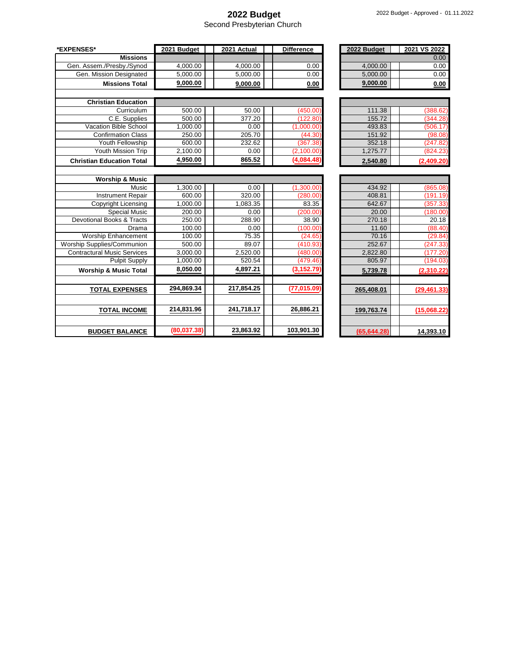#### **2022 Budget**

Second Presbyterian Church

| *EXPENSES*                         | 2021 Budget | 2021 Actual | <b>Difference</b> | 2022 Budget  | 2021 VS 2022 |
|------------------------------------|-------------|-------------|-------------------|--------------|--------------|
| <b>Missions</b>                    |             |             |                   |              | 0.00         |
| Gen. Assem./Presby./Synod          | 4,000.00    | 4,000.00    | 0.00              | 4,000.00     | 0.00         |
| Gen. Mission Designated            | 5,000.00    | 5,000.00    | 0.00              | 5,000.00     | 0.00         |
| <b>Missions Total</b>              | 9,000.00    | 9,000.00    | 0.00              | 9,000.00     | 0.00         |
| <b>Christian Education</b>         |             |             |                   |              |              |
| Curriculum                         | 500.00      | 50.00       | (450.00)          | 111.38       | (388.62)     |
| C.E. Supplies                      | 500.00      | 377.20      | (122.80)          | 155.72       | (344.28)     |
| Vacation Bible School              | 1,000.00    | 0.00        | (1,000.00)        | 493.83       | (506.17)     |
| <b>Confirmation Class</b>          | 250.00      | 205.70      | (44.30)           | 151.92       | (98.08)      |
| Youth Fellowship                   | 600.00      | 232.62      | (367.38)          | 352.18       | (247.82)     |
| Youth Mission Trip                 | 2,100.00    | 0.00        | (2,100.00)        | 1,275.77     | (824.23)     |
| <b>Christian Education Total</b>   | 4,950.00    | 865.52      | (4,084.48)        | 2,540.80     | (2,409.20)   |
|                                    |             |             |                   |              |              |
| <b>Worship &amp; Music</b>         |             |             |                   |              |              |
| Music                              | 1,300.00    | 0.00        | (1,300.00)        | 434.92       | (865.08)     |
| <b>Instrument Repair</b>           | 600.00      | 320.00      | (280.00)          | 408.81       | (191.19)     |
| Copyright Licensing                | 1,000.00    | 1,083.35    | 83.35             | 642.67       | (357.33)     |
| <b>Special Music</b>               | 200.00      | 0.00        | (200.00)          | 20.00        | (180.00)     |
| Devotional Books & Tracts          | 250.00      | 288.90      | 38.90             | 270.18       | 20.18        |
| Drama                              | 100.00      | 0.00        | (100.00)          | 11.60        | (88.40)      |
| <b>Worship Enhancement</b>         | 100.00      | 75.35       | (24.65)           | 70.16        | (29.84)      |
| <b>Worship Supplies/Communion</b>  | 500.00      | 89.07       | (410.93)          | 252.67       | (247.33)     |
| <b>Contractural Music Services</b> | 3,000.00    | 2,520.00    | (480.00)          | 2,822.80     | (177.20)     |
| <b>Pulpit Supply</b>               | 1,000.00    | 520.54      | (479.46)          | 805.97       | (194.03)     |
| <b>Worship &amp; Music Total</b>   | 8,050.00    | 4,897.21    | (3, 152.79)       | 5,739.78     | (2,310.22)   |
| <b>TOTAL EXPENSES</b>              | 294,869.34  | 217,854.25  | (77, 015.09)      | 265,408.01   | (29, 461.33) |
|                                    |             |             |                   |              |              |
| <b>TOTAL INCOME</b>                | 214,831.96  | 241,718.17  | 26,886.21         | 199,763.74   | (15,068.22)  |
| <b>BUDGET BALANCE</b>              | (80,037.38) | 23,863.92   | 103,901.30        | (65, 644.28) | 14,393.10    |

| 2022 Budget | 2021 VS 2022 |
|-------------|--------------|
|             | 0.00         |
| 4,000.00    | 0.00         |
| 5,000.00    | 0.00         |
| 9,000.00    | 0.00         |

| 111.38   | (388.62)   |
|----------|------------|
| 155.72   | (344.28)   |
| 493.83   | (506.17)   |
| 151.92   | (98.08)    |
| 352.18   | (247.82)   |
| 1.275.77 | (824.23)   |
| 2.540.80 | (2,409.20) |

| 434.92      | (865.08)     |
|-------------|--------------|
| 408.81      | (191.19)     |
| 642.67      | (357.33)     |
| 20.00       | (180.00      |
| 270.18      | 20.18        |
| 11.60       | (88.40)      |
| 70.16       | (29.84)      |
| 252.67      | (247.33      |
| 2,822.80    | (177.20      |
| 805.97      | (194.03)     |
| 5,739.78    | (2,310.22)   |
|             |              |
| 265,408.01  | (29, 461.33) |
|             |              |
| 199,763.74  | (15,068.22)  |
|             |              |
| (65,644.28) | 14,393.10    |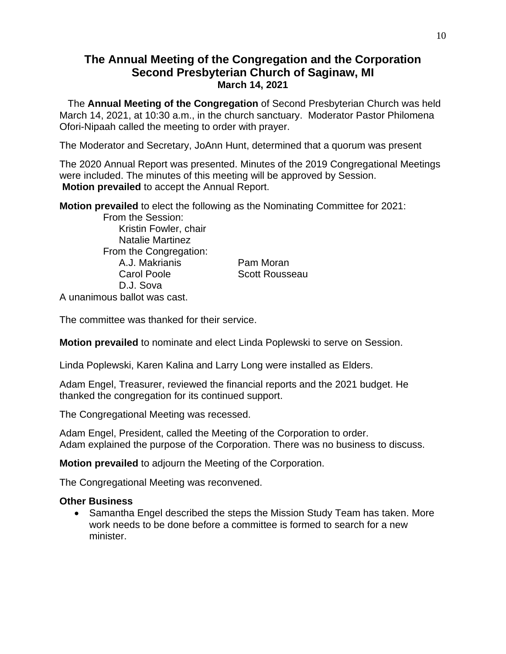## **The Annual Meeting of the Congregation and the Corporation Second Presbyterian Church of Saginaw, MI March 14, 2021**

 The **Annual Meeting of the Congregation** of Second Presbyterian Church was held March 14, 2021, at 10:30 a.m., in the church sanctuary.Moderator Pastor Philomena Ofori-Nipaah called the meeting to order with prayer.

The Moderator and Secretary, JoAnn Hunt, determined that a quorum was present

The 2020 Annual Report was presented. Minutes of the 2019 Congregational Meetings were included. The minutes of this meeting will be approved by Session. **Motion prevailed** to accept the Annual Report.

**Motion prevailed** to elect the following as the Nominating Committee for 2021:

 From the Session: Kristin Fowler, chair Natalie Martinez From the Congregation: A.J. Makrianis Pam Moran Carol Poole Scott Rousseau D.J. Sova

A unanimous ballot was cast.

The committee was thanked for their service.

**Motion prevailed** to nominate and elect Linda Poplewski to serve on Session.

Linda Poplewski, Karen Kalina and Larry Long were installed as Elders.

Adam Engel, Treasurer, reviewed the financial reports and the 2021 budget. He thanked the congregation for its continued support.

The Congregational Meeting was recessed.

Adam Engel, President, called the Meeting of the Corporation to order. Adam explained the purpose of the Corporation. There was no business to discuss.

**Motion prevailed** to adjourn the Meeting of the Corporation.

The Congregational Meeting was reconvened.

#### **Other Business**

• Samantha Engel described the steps the Mission Study Team has taken. More work needs to be done before a committee is formed to search for a new minister.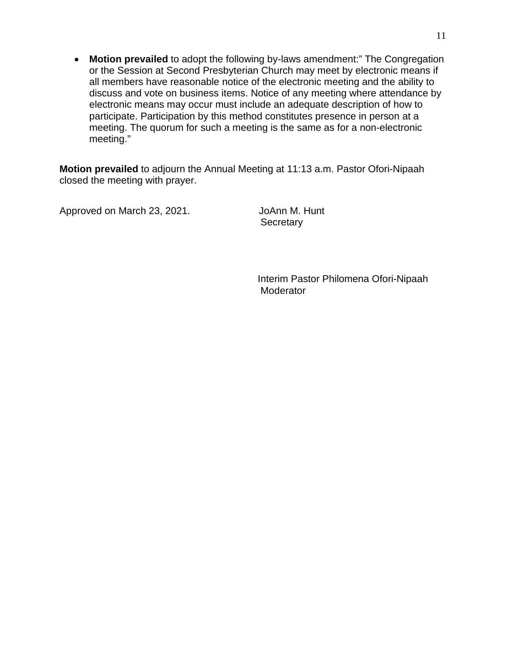• **Motion prevailed** to adopt the following by-laws amendment:" The Congregation or the Session at Second Presbyterian Church may meet by electronic means if all members have reasonable notice of the electronic meeting and the ability to discuss and vote on business items. Notice of any meeting where attendance by electronic means may occur must include an adequate description of how to participate. Participation by this method constitutes presence in person at a meeting. The quorum for such a meeting is the same as for a non-electronic meeting."

**Motion prevailed** to adjourn the Annual Meeting at 11:13 a.m. Pastor Ofori-Nipaah closed the meeting with prayer.

Approved on March 23, 2021. JoAnn M. Hunt

**Secretary** 

 Interim Pastor Philomena Ofori-Nipaah **Moderator**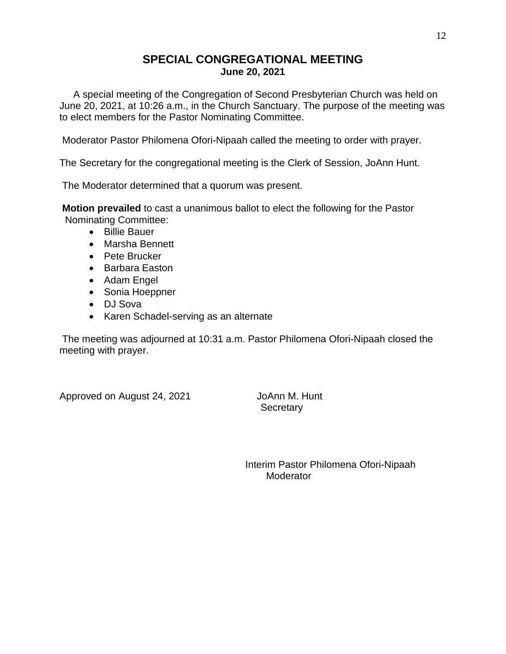## **SPECIAL CONGREGATIONAL MEETING June 20, 2021**

 A special meeting of the Congregation of Second Presbyterian Church was held on June 20, 2021, at 10:26 a.m., in the Church Sanctuary. The purpose of the meeting was to elect members for the Pastor Nominating Committee.

Moderator Pastor Philomena Ofori-Nipaah called the meeting to order with prayer.

The Secretary for the congregational meeting is the Clerk of Session, JoAnn Hunt.

The Moderator determined that a quorum was present.

**Motion prevailed** to cast a unanimous ballot to elect the following for the Pastor Nominating Committee:

- Billie Bauer
- Marsha Bennett
- Pete Brucker
- Barbara Easton
- Adam Engel
- Sonia Hoeppner
- DJ Sova
- Karen Schadel-serving as an alternate

The meeting was adjourned at 10:31 a.m. Pastor Philomena Ofori-Nipaah closed the meeting with prayer.

Approved on August 24, 2021 JoAnn M. Hunt

**Secretary** 

 Interim Pastor Philomena Ofori-Nipaah Moderator